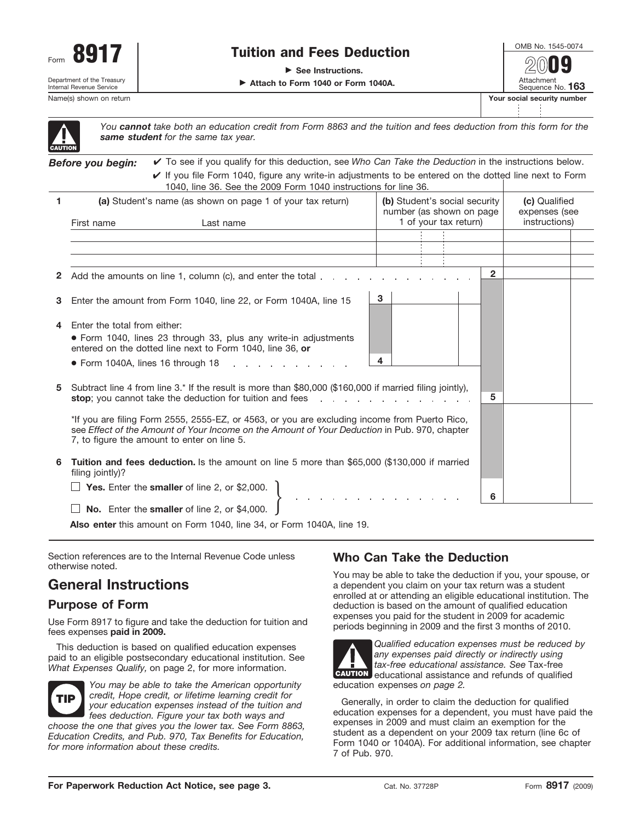

# Tuition and Fees Deduction

▶ See Instructions.

- **Attach to Form 1040 or Form 1040A.**

Attachment Sequence No. **163** Name(s) shown on return **Your social security number Your social security number 2009**

| UTIOI |  |
|-------|--|

*You cannot take both an education credit from Form 8863 and the tuition and fees deduction from this form for the same student for the same tax year.*

*Before you begin:*  $\vee$  If you file Form 1040, figure any write-in adjustments to be entered on the dotted line next to Form 1040, line 36. See the 2009 Form 1040 instructions for line 36. ✔ To see if you qualify for this deduction, see *Who Can Take the Deduction* in the instructions below.

|   | TUTU, IIITU UU. UUU ITU LUUU TUTTI TUTU IITSITUUTUTTO TUI IIITU UU.                                                                     |                                                                                                                         |                                |
|---|-----------------------------------------------------------------------------------------------------------------------------------------|-------------------------------------------------------------------------------------------------------------------------|--------------------------------|
|   | (a) Student's name (as shown on page 1 of your tax return)                                                                              | (b) Student's social security<br>number (as shown on page                                                               | (c) Qualified<br>expenses (see |
|   | First name<br>Last name                                                                                                                 | 1 of your tax return)                                                                                                   | instructions)                  |
|   |                                                                                                                                         |                                                                                                                         |                                |
|   |                                                                                                                                         |                                                                                                                         |                                |
|   |                                                                                                                                         |                                                                                                                         |                                |
|   |                                                                                                                                         |                                                                                                                         |                                |
|   | 2 Add the amounts on line 1, column (c), and enter the total                                                                            | $\overline{2}$                                                                                                          |                                |
|   |                                                                                                                                         |                                                                                                                         |                                |
| 3 | Enter the amount from Form 1040, line 22, or Form 1040A, line 15                                                                        | 3                                                                                                                       |                                |
|   |                                                                                                                                         |                                                                                                                         |                                |
| 4 | Foter the total from either:                                                                                                            |                                                                                                                         |                                |
|   | • Form 1040, lines 23 through 33, plus any write-in adjustments                                                                         |                                                                                                                         |                                |
|   | entered on the dotted line next to Form 1040, line 36, or                                                                               |                                                                                                                         |                                |
|   |                                                                                                                                         | 4                                                                                                                       |                                |
|   | $\bullet$ Form 1040A, lines 16 through 18 $\bullet$ , $\bullet$ , $\bullet$ , $\bullet$ , $\bullet$ , $\bullet$ , $\bullet$ , $\bullet$ |                                                                                                                         |                                |
|   |                                                                                                                                         |                                                                                                                         |                                |
| 5 | Subtract line 4 from line 3.* If the result is more than \$80,000 (\$160,000 if married filing jointly),                                |                                                                                                                         |                                |
|   | stop; you cannot take the deduction for tuition and fees                                                                                | 5                                                                                                                       |                                |
|   |                                                                                                                                         |                                                                                                                         |                                |
|   | *If you are filing Form 2555, 2555-EZ, or 4563, or you are excluding income from Puerto Rico,                                           |                                                                                                                         |                                |
|   | see Effect of the Amount of Your Income on the Amount of Your Deduction in Pub. 970, chapter                                            |                                                                                                                         |                                |
|   | 7, to figure the amount to enter on line 5.                                                                                             |                                                                                                                         |                                |
|   |                                                                                                                                         |                                                                                                                         |                                |
| 6 | Tuition and fees deduction. Is the amount on line 5 more than \$65,000 (\$130,000 if married                                            |                                                                                                                         |                                |
|   | filing jointly)?                                                                                                                        |                                                                                                                         |                                |
|   |                                                                                                                                         |                                                                                                                         |                                |
|   | $\Box$ Yes. Enter the smaller of line 2, or \$2,000.                                                                                    | $\mathcal{L}^{\mathcal{A}}$ , where $\mathcal{L}^{\mathcal{A}}$ is a set of the set of $\mathcal{L}^{\mathcal{A}}$<br>6 |                                |
|   |                                                                                                                                         |                                                                                                                         |                                |

**No.** Enter the **smaller** of line 2, or \$4,000.

**Also enter** this amount on Form 1040, line 34, or Form 1040A, line 19.

Section references are to the Internal Revenue Code unless otherwise noted.

# **General Instructions**

## **Purpose of Form**

Use Form 8917 to figure and take the deduction for tuition and fees expenses **paid in 2009.**

This deduction is based on qualified education expenses paid to an eligible postsecondary educational institution. See *What Expenses Qualify,* on page 2, for more information.



*You may be able to take the American opportunity credit, Hope credit, or lifetime learning credit for your education expenses instead of the tuition and fees deduction. Figure your tax both ways and*

*choose the one that gives you the lower tax. See Form 8863, Education Credits, and Pub. 970, Tax Benefits for Education, for more information about these credits.*

## **Who Can Take the Deduction**

You may be able to take the deduction if you, your spouse, or a dependent you claim on your tax return was a student enrolled at or attending an eligible educational institution. The deduction is based on the amount of qualified education expenses you paid for the student in 2009 for academic periods beginning in 2009 and the first 3 months of 2010.



*Qualified education expenses must be reduced by any expenses paid directly or indirectly using tax-free educational assistance. See* Tax-free educational assistance and refunds of qualified **CAUTION** education expenses *on page 2.*

Generally, in order to claim the deduction for qualified education expenses for a dependent, you must have paid the expenses in 2009 and must claim an exemption for the student as a dependent on your 2009 tax return (line 6c of Form 1040 or 1040A). For additional information, see chapter 7 of Pub. 970.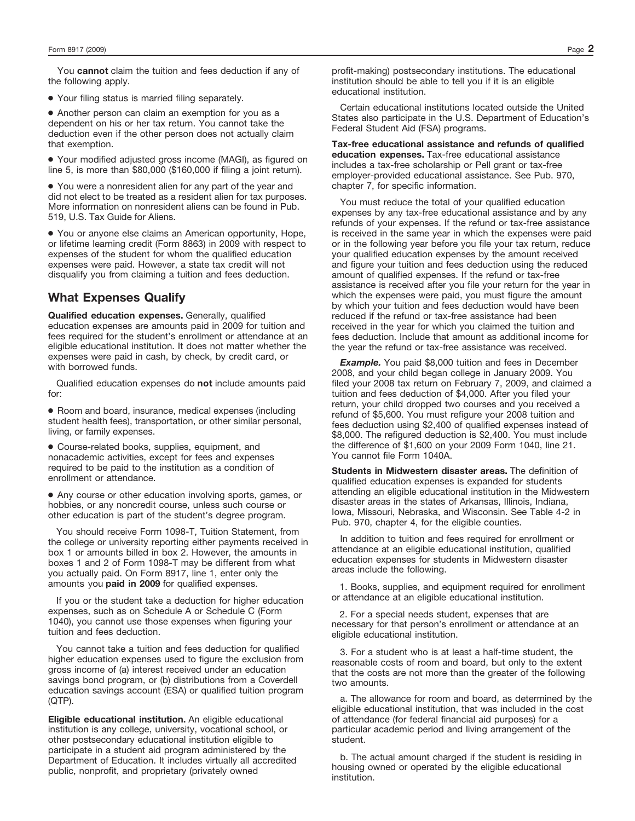You **cannot** claim the tuition and fees deduction if any of the following apply.

● Your filing status is married filing separately.

● Another person can claim an exemption for you as a dependent on his or her tax return. You cannot take the deduction even if the other person does not actually claim that exemption.

● Your modified adjusted gross income (MAGI), as figured on line 5, is more than \$80,000 (\$160,000 if filing a joint return).

● You were a nonresident alien for any part of the year and did not elect to be treated as a resident alien for tax purposes. More information on nonresident aliens can be found in Pub. 519, U.S. Tax Guide for Aliens.

● You or anyone else claims an American opportunity, Hope, or lifetime learning credit (Form 8863) in 2009 with respect to expenses of the student for whom the qualified education expenses were paid. However, a state tax credit will not disqualify you from claiming a tuition and fees deduction.

#### **What Expenses Qualify**

**Qualified education expenses.** Generally, qualified education expenses are amounts paid in 2009 for tuition and fees required for the student's enrollment or attendance at an eligible educational institution. It does not matter whether the expenses were paid in cash, by check, by credit card, or with borrowed funds.

Qualified education expenses do **not** include amounts paid for:

● Room and board, insurance, medical expenses (including student health fees), transportation, or other similar personal, living, or family expenses.

● Course-related books, supplies, equipment, and nonacademic activities, except for fees and expenses required to be paid to the institution as a condition of enrollment or attendance.

● Any course or other education involving sports, games, or hobbies, or any noncredit course, unless such course or other education is part of the student's degree program.

You should receive Form 1098-T, Tuition Statement, from the college or university reporting either payments received in box 1 or amounts billed in box 2. However, the amounts in boxes 1 and 2 of Form 1098-T may be different from what you actually paid. On Form 8917, line 1, enter only the amounts you **paid in 2009** for qualified expenses.

If you or the student take a deduction for higher education expenses, such as on Schedule A or Schedule C (Form 1040), you cannot use those expenses when figuring your tuition and fees deduction.

You cannot take a tuition and fees deduction for qualified higher education expenses used to figure the exclusion from gross income of (a) interest received under an education savings bond program, or (b) distributions from a Coverdell education savings account (ESA) or qualified tuition program (QTP).

**Eligible educational institution.** An eligible educational institution is any college, university, vocational school, or other postsecondary educational institution eligible to participate in a student aid program administered by the Department of Education. It includes virtually all accredited public, nonprofit, and proprietary (privately owned

profit-making) postsecondary institutions. The educational institution should be able to tell you if it is an eligible educational institution.

Certain educational institutions located outside the United States also participate in the U.S. Department of Education's Federal Student Aid (FSA) programs.

**Tax-free educational assistance and refunds of qualified education expenses.** Tax-free educational assistance includes a tax-free scholarship or Pell grant or tax-free employer-provided educational assistance. See Pub. 970, chapter 7, for specific information.

You must reduce the total of your qualified education expenses by any tax-free educational assistance and by any refunds of your expenses. If the refund or tax-free assistance is received in the same year in which the expenses were paid or in the following year before you file your tax return, reduce your qualified education expenses by the amount received and figure your tuition and fees deduction using the reduced amount of qualified expenses. If the refund or tax-free assistance is received after you file your return for the year in which the expenses were paid, you must figure the amount by which your tuition and fees deduction would have been reduced if the refund or tax-free assistance had been received in the year for which you claimed the tuition and fees deduction. Include that amount as additional income for the year the refund or tax-free assistance was received.

**Example.** You paid \$8,000 tuition and fees in December 2008, and your child began college in January 2009. You filed your 2008 tax return on February 7, 2009, and claimed a tuition and fees deduction of \$4,000. After you filed your return, your child dropped two courses and you received a refund of \$5,600. You must refigure your 2008 tuition and fees deduction using \$2,400 of qualified expenses instead of \$8,000. The refigured deduction is \$2,400. You must include the difference of \$1,600 on your 2009 Form 1040, line 21. You cannot file Form 1040A.

**Students in Midwestern disaster areas.** The definition of qualified education expenses is expanded for students attending an eligible educational institution in the Midwestern disaster areas in the states of Arkansas, Illinois, Indiana, Iowa, Missouri, Nebraska, and Wisconsin. See Table 4-2 in Pub. 970, chapter 4, for the eligible counties.

In addition to tuition and fees required for enrollment or attendance at an eligible educational institution, qualified education expenses for students in Midwestern disaster areas include the following.

1. Books, supplies, and equipment required for enrollment or attendance at an eligible educational institution.

2. For a special needs student, expenses that are necessary for that person's enrollment or attendance at an eligible educational institution.

3. For a student who is at least a half-time student, the reasonable costs of room and board, but only to the extent that the costs are not more than the greater of the following two amounts.

a. The allowance for room and board, as determined by the eligible educational institution, that was included in the cost of attendance (for federal financial aid purposes) for a particular academic period and living arrangement of the student.

b. The actual amount charged if the student is residing in housing owned or operated by the eligible educational institution.